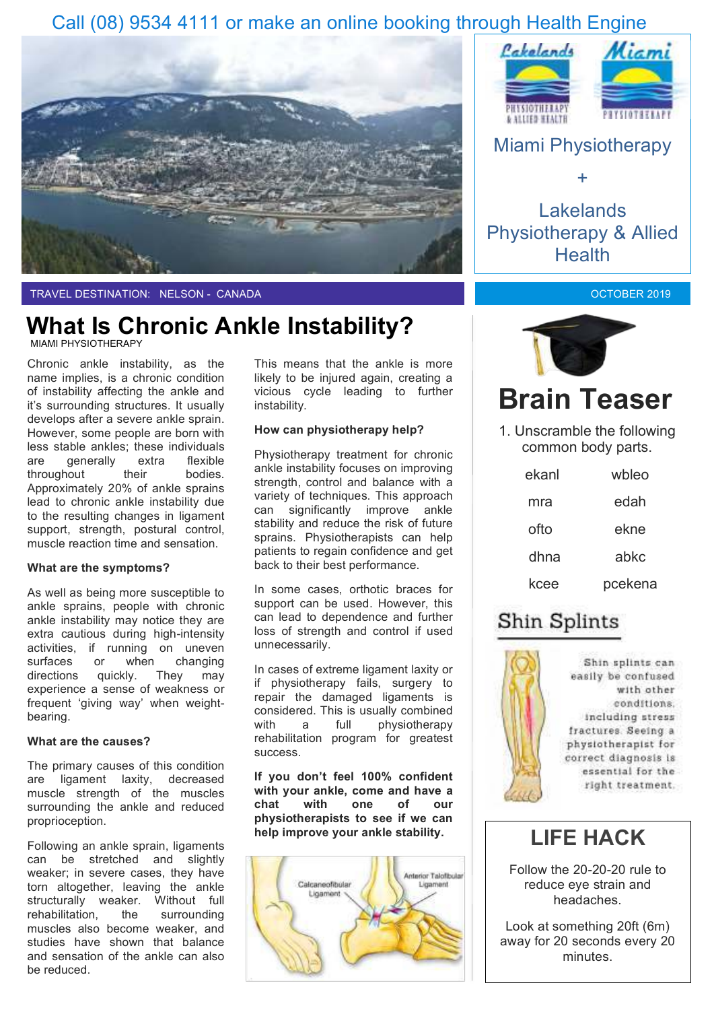### Call (08) 9534 4111 or make an online booking through Health Engine





Lakelands Physiotherapy & Allied **Health** 

OCTOBER 2019

TRAVEL DESTINATION: NELSON - CANADA

### MIAMI PHYSIOTHERAPY **What Is Chronic Ankle Instability?**

Chronic ankle instability, as the name implies, is a chronic condition of instability affecting the ankle and it's surrounding structures. It usually develops after a severe ankle sprain. However, some people are born with less stable ankles; these individuals are generally extra flexible throughout their bodies. Approximately 20% of ankle sprains lead to chronic ankle instability due to the resulting changes in ligament support, strength, postural control, muscle reaction time and sensation.

#### **What are the symptoms?**

As well as being more susceptible to ankle sprains, people with chronic ankle instability may notice they are extra cautious during high-intensity activities, if running on uneven surfaces or when changing directions quickly. They may experience a sense of weakness or frequent 'giving way' when weightbearing.

#### **What are the causes?**

The primary causes of this condition are ligament laxity, decreased muscle strength of the muscles surrounding the ankle and reduced proprioception.

Following an ankle sprain, ligaments can be stretched and slightly weaker; in severe cases, they have torn altogether, leaving the ankle structurally weaker. Without full rehabilitation, the surrounding muscles also become weaker, and studies have shown that balance and sensation of the ankle can also be reduced.

This means that the ankle is more likely to be injured again, creating a vicious cycle leading to further instability.

#### **How can physiotherapy help?**

Physiotherapy treatment for chronic ankle instability focuses on improving strength, control and balance with a variety of techniques. This approach can significantly improve ankle stability and reduce the risk of future sprains. Physiotherapists can help patients to regain confidence and get back to their best performance.

In some cases, orthotic braces for support can be used. However, this can lead to dependence and further loss of strength and control if used unnecessarily.

In cases of extreme ligament laxity or if physiotherapy fails, surgery to repair the damaged ligaments is considered. This is usually combined with a full physiotherapy rehabilitation program for greatest success.

**If you don't feel 100% confident with your ankle, come and have a chat with one of our physiotherapists to see if we can help improve your ankle stability.**





# **Brain Teaser**

1. Unscramble the following common body parts.

| ekanl | wbleo   |
|-------|---------|
| mra   | edah    |
| ofto  | ekne    |
| dhna  | abkc    |
| kcee  | pcekena |

### Shin Splints



Shin splints can easily be confused with other conditions. including stress fractures. Seeing a physiotherapist for correct diagnosis is essential for the right treatment.

### **LIFE HACK**

Follow the 20-20-20 rule to reduce eye strain and headaches.

Look at something 20ft (6m) away for 20 seconds every 20 minutes.